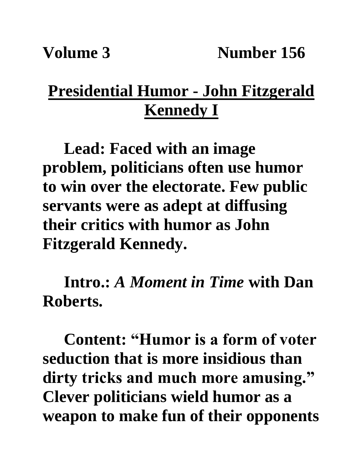## **Presidential Humor - John Fitzgerald Kennedy I**

**Lead: Faced with an image problem, politicians often use humor to win over the electorate. Few public servants were as adept at diffusing their critics with humor as John Fitzgerald Kennedy.** 

**Intro.:** *A Moment in Time* **with Dan Roberts.**

**Content: "Humor is a form of voter seduction that is more insidious than dirty tricks and much more amusing." Clever politicians wield humor as a weapon to make fun of their opponents**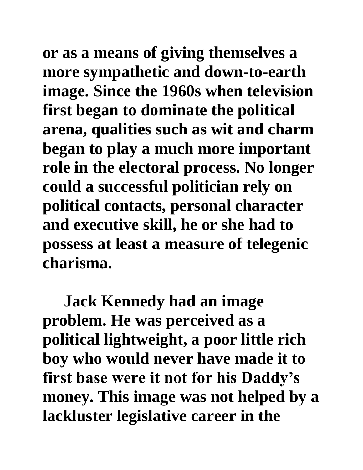**or as a means of giving themselves a more sympathetic and down-to-earth image. Since the 1960s when television first began to dominate the political arena, qualities such as wit and charm began to play a much more important role in the electoral process. No longer could a successful politician rely on political contacts, personal character and executive skill, he or she had to possess at least a measure of telegenic charisma.** 

**Jack Kennedy had an image problem. He was perceived as a political lightweight, a poor little rich boy who would never have made it to first base were it not for his Daddy's money. This image was not helped by a lackluster legislative career in the**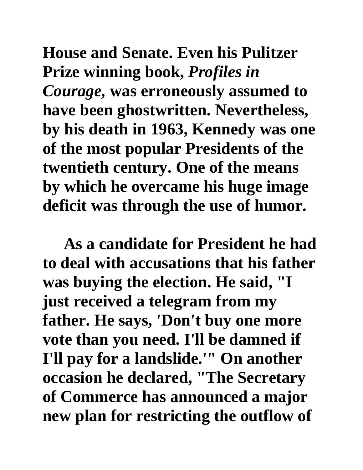**House and Senate. Even his Pulitzer Prize winning book,** *Profiles in Courage,* **was erroneously assumed to have been ghostwritten. Nevertheless, by his death in 1963, Kennedy was one of the most popular Presidents of the twentieth century. One of the means by which he overcame his huge image deficit was through the use of humor.**

**As a candidate for President he had to deal with accusations that his father was buying the election. He said, "I just received a telegram from my father. He says, 'Don't buy one more vote than you need. I'll be damned if I'll pay for a landslide.'" On another occasion he declared, "The Secretary of Commerce has announced a major new plan for restricting the outflow of**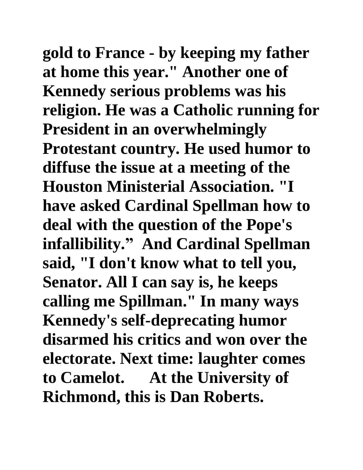**gold to France - by keeping my father at home this year." Another one of Kennedy serious problems was his religion. He was a Catholic running for President in an overwhelmingly Protestant country. He used humor to diffuse the issue at a meeting of the Houston Ministerial Association. "I have asked Cardinal Spellman how to deal with the question of the Pope's infallibility." And Cardinal Spellman said, "I don't know what to tell you, Senator. All I can say is, he keeps calling me Spillman." In many ways Kennedy's self-deprecating humor disarmed his critics and won over the electorate. Next time: laughter comes to Camelot. At the University of Richmond, this is Dan Roberts.**